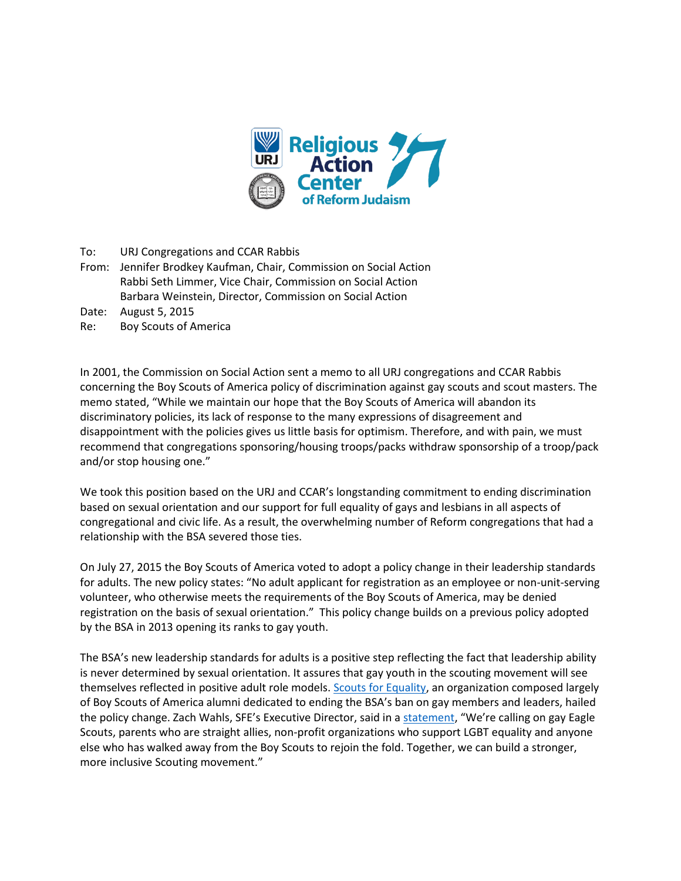

To: URJ Congregations and CCAR Rabbis

- From: Jennifer Brodkey Kaufman, Chair, Commission on Social Action Rabbi Seth Limmer, Vice Chair, Commission on Social Action Barbara Weinstein, Director, Commission on Social Action
- Date: August 5, 2015
- Re: Boy Scouts of America

In 2001, the Commission on Social Action sent a memo to all URJ congregations and CCAR Rabbis concerning the Boy Scouts of America policy of discrimination against gay scouts and scout masters. The memo stated, "While we maintain our hope that the Boy Scouts of America will abandon its discriminatory policies, its lack of response to the many expressions of disagreement and disappointment with the policies gives us little basis for optimism. Therefore, and with pain, we must recommend that congregations sponsoring/housing troops/packs withdraw sponsorship of a troop/pack and/or stop housing one."

We took this position based on the URJ and CCAR's longstanding commitment to ending discrimination based on sexual orientation and our support for full equality of gays and lesbians in all aspects of congregational and civic life. As a result, the overwhelming number of Reform congregations that had a relationship with the BSA severed those ties.

On July 27, 2015 the Boy Scouts of America voted to adopt a policy change in their leadership standards for adults. The new policy states: "No adult applicant for registration as an employee or non-unit-serving volunteer, who otherwise meets the requirements of the Boy Scouts of America, may be denied registration on the basis of sexual orientation." This policy change builds on a previous policy adopted by the BSA in 2013 opening its ranks to gay youth.

The BSA's new leadership standards for adults is a positive step reflecting the fact that leadership ability is never determined by sexual orientation. It assures that gay youth in the scouting movement will see themselves reflected in positive adult role models. [Scouts for Equality,](https://www.scoutsforequality.org/) an organization composed largely of Boy Scouts of America alumni dedicated to ending the BSA's ban on gay members and leaders, hailed the policy change. Zach Wahls, SFE's Executive Director, said in a [statement](https://www.scoutsforequality.org/scouting/breaking-bsa-executive-board-votes-to-end-national-ban-on-gay-adults/), "We're calling on gay Eagle Scouts, parents who are straight allies, non-profit organizations who support LGBT equality and anyone else who has walked away from the Boy Scouts to rejoin the fold. Together, we can build a stronger, more inclusive Scouting movement."